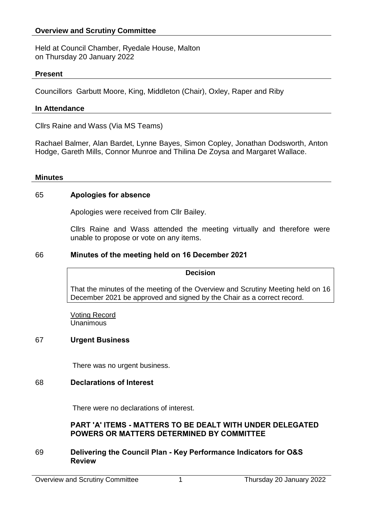### **Overview and Scrutiny Committee**

Held at Council Chamber, Ryedale House, Malton on Thursday 20 January 2022

#### **Present**

Councillors Garbutt Moore, King, Middleton (Chair), Oxley, Raper and Riby

#### **In Attendance**

Cllrs Raine and Wass (Via MS Teams)

Rachael Balmer, Alan Bardet, Lynne Bayes, Simon Copley, Jonathan Dodsworth, Anton Hodge, Gareth Mills, Connor Munroe and Thilina De Zoysa and Margaret Wallace.

#### **Minutes**

#### 65 **Apologies for absence**

Apologies were received from Cllr Bailey.

Cllrs Raine and Wass attended the meeting virtually and therefore were unable to propose or vote on any items.

#### 66 **Minutes of the meeting held on 16 December 2021**

#### **Decision**

That the minutes of the meeting of the Overview and Scrutiny Meeting held on 16 December 2021 be approved and signed by the Chair as a correct record.

Voting Record Unanimous

#### 67 **Urgent Business**

There was no urgent business.

#### 68 **Declarations of Interest**

There were no declarations of interest.

### **PART 'A' ITEMS - MATTERS TO BE DEALT WITH UNDER DELEGATED POWERS OR MATTERS DETERMINED BY COMMITTEE**

#### 69 **Delivering the Council Plan - Key Performance Indicators for O&S Review**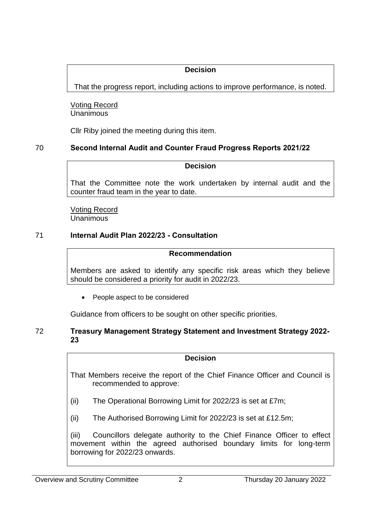# **Decision**

That the progress report, including actions to improve performance, is noted.

Voting Record **Unanimous** 

Cllr Riby joined the meeting during this item.

# 70 **Second Internal Audit and Counter Fraud Progress Reports 2021/22**

## **Decision**

That the Committee note the work undertaken by internal audit and the counter fraud team in the year to date.

Voting Record **Unanimous** 

# 71 **Internal Audit Plan 2022/23 - Consultation**

## **Recommendation**

Members are asked to identify any specific risk areas which they believe should be considered a priority for audit in 2022/23.

• People aspect to be considered

Guidance from officers to be sought on other specific priorities.

## 72 **Treasury Management Strategy Statement and Investment Strategy 2022- 23**

## **Decision**

That Members receive the report of the Chief Finance Officer and Council is recommended to approve:

- (ii) The Operational Borrowing Limit for 2022/23 is set at £7m;
- (ii) The Authorised Borrowing Limit for 2022/23 is set at £12.5m;

(iii) Councillors delegate authority to the Chief Finance Officer to effect movement within the agreed authorised boundary limits for long-term borrowing for 2022/23 onwards.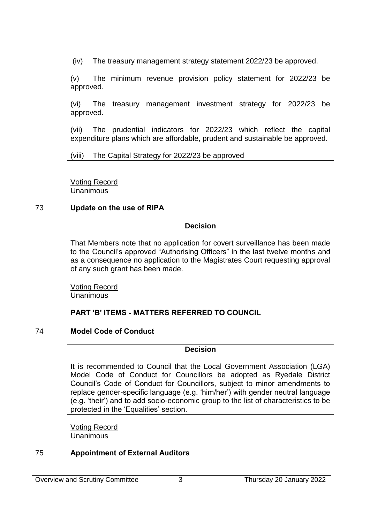(iv) The treasury management strategy statement 2022/23 be approved.

(v) The minimum revenue provision policy statement for 2022/23 be approved.

(vi) The treasury management investment strategy for 2022/23 be approved.

(vii) The prudential indicators for 2022/23 which reflect the capital expenditure plans which are affordable, prudent and sustainable be approved.

(viii) The Capital Strategy for 2022/23 be approved

Voting Record **Unanimous** 

## 73 **Update on the use of RIPA**

## **Decision**

That Members note that no application for covert surveillance has been made to the Council's approved "Authorising Officers" in the last twelve months and as a consequence no application to the Magistrates Court requesting approval of any such grant has been made.

Voting Record **Unanimous** 

# **PART 'B' ITEMS - MATTERS REFERRED TO COUNCIL**

# 74 **Model Code of Conduct**

### **Decision**

It is recommended to Council that the Local Government Association (LGA) Model Code of Conduct for Councillors be adopted as Ryedale District Council's Code of Conduct for Councillors, subject to minor amendments to replace gender-specific language (e.g. 'him/her') with gender neutral language (e.g. 'their') and to add socio-economic group to the list of characteristics to be protected in the 'Equalities' section.

Voting Record **Unanimous** 

# 75 **Appointment of External Auditors**